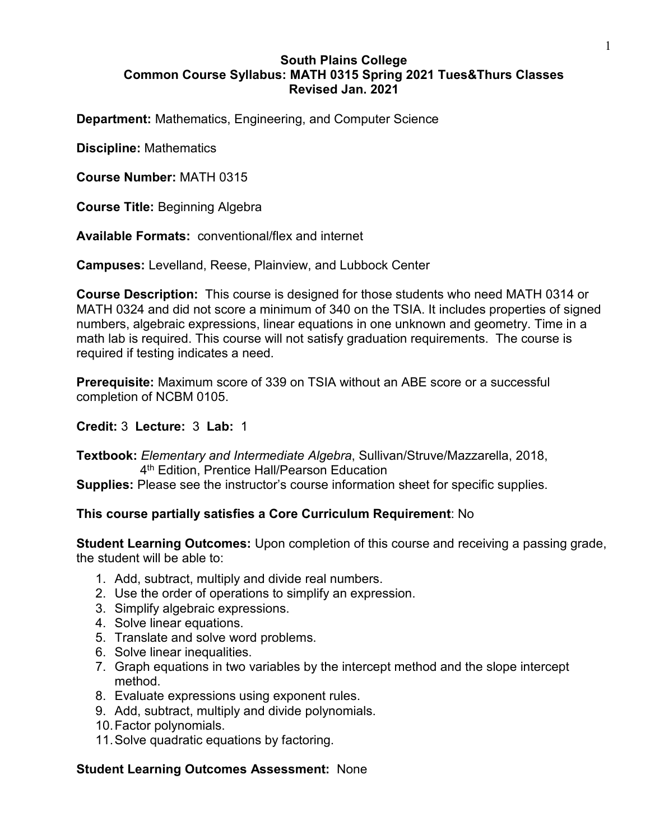#### **South Plains College Common Course Syllabus: MATH 0315 Spring 2021 Tues&Thurs Classes Revised Jan. 2021**

**Department:** Mathematics, Engineering, and Computer Science

**Discipline:** Mathematics

**Course Number:** MATH 0315

**Course Title:** Beginning Algebra

**Available Formats:** conventional/flex and internet

**Campuses:** Levelland, Reese, Plainview, and Lubbock Center

**Course Description:** This course is designed for those students who need MATH 0314 or MATH 0324 and did not score a minimum of 340 on the TSIA. It includes properties of signed numbers, algebraic expressions, linear equations in one unknown and geometry. Time in a math lab is required. This course will not satisfy graduation requirements. The course is required if testing indicates a need.

**Prerequisite:** Maximum score of 339 on TSIA without an ABE score or a successful completion of NCBM 0105.

#### **Credit:** 3 **Lecture:** 3 **Lab:** 1

**Textbook:** *Elementary and Intermediate Algebra*, Sullivan/Struve/Mazzarella, 2018, 4th Edition, Prentice Hall/Pearson Education

**Supplies:** Please see the instructor's course information sheet for specific supplies.

## **This course partially satisfies a Core Curriculum Requirement**: No

**Student Learning Outcomes:** Upon completion of this course and receiving a passing grade, the student will be able to:

- 1. Add, subtract, multiply and divide real numbers.
- 2. Use the order of operations to simplify an expression.
- 3. Simplify algebraic expressions.
- 4. Solve linear equations.
- 5. Translate and solve word problems.
- 6. Solve linear inequalities.
- 7. Graph equations in two variables by the intercept method and the slope intercept method.
- 8. Evaluate expressions using exponent rules.
- 9. Add, subtract, multiply and divide polynomials.
- 10.Factor polynomials.
- 11.Solve quadratic equations by factoring.

## **Student Learning Outcomes Assessment:** None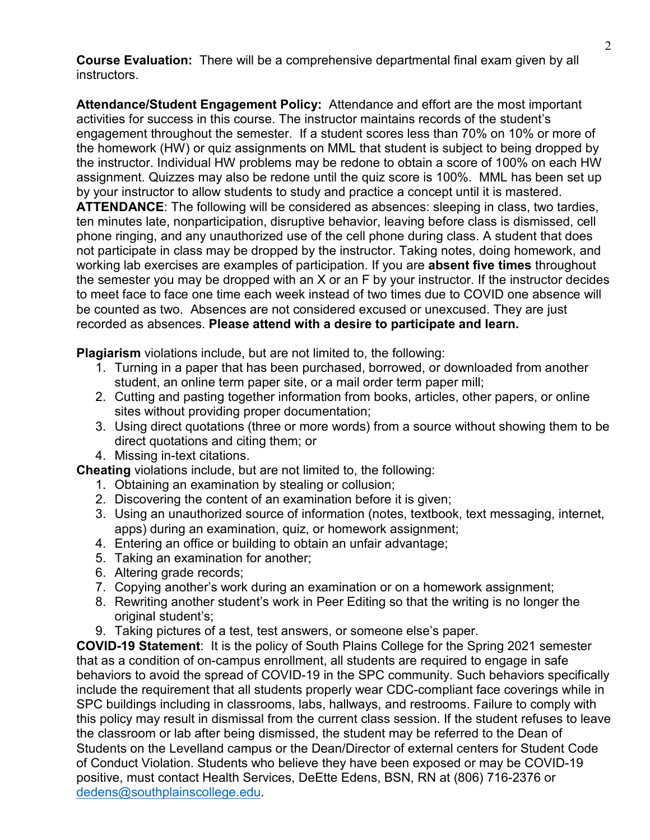**Course Evaluation:** There will be a comprehensive departmental final exam given by all instructors.

**Attendance/Student Engagement Policy:** Attendance and effort are the most important activities for success in this course. The instructor maintains records of the student's engagement throughout the semester. If a student scores less than 70% on 10% or more of the homework (HW) or quiz assignments on MML that student is subject to being dropped by the instructor. Individual HW problems may be redone to obtain a score of 100% on each HW assignment. Quizzes may also be redone until the quiz score is 100%. MML has been set up by your instructor to allow students to study and practice a concept until it is mastered. **ATTENDANCE**: The following will be considered as absences: sleeping in class, two tardies, ten minutes late, nonparticipation, disruptive behavior, leaving before class is dismissed, cell phone ringing, and any unauthorized use of the cell phone during class. A student that does not participate in class may be dropped by the instructor. Taking notes, doing homework, and working lab exercises are examples of participation. If you are **absent five times** throughout the semester you may be dropped with an X or an F by your instructor. If the instructor decides to meet face to face one time each week instead of two times due to COVID one absence will be counted as two. Absences are not considered excused or unexcused. They are just recorded as absences. **Please attend with a desire to participate and learn.**

**Plagiarism** violations include, but are not limited to, the following:

- 1. Turning in a paper that has been purchased, borrowed, or downloaded from another student, an online term paper site, or a mail order term paper mill;
- 2. Cutting and pasting together information from books, articles, other papers, or online sites without providing proper documentation;
- 3. Using direct quotations (three or more words) from a source without showing them to be direct quotations and citing them; or
- 4. Missing in-text citations.

**Cheating** violations include, but are not limited to, the following:

- 1. Obtaining an examination by stealing or collusion;
- 2. Discovering the content of an examination before it is given;
- 3. Using an unauthorized source of information (notes, textbook, text messaging, internet, apps) during an examination, quiz, or homework assignment;
- 4. Entering an office or building to obtain an unfair advantage;
- 5. Taking an examination for another;
- 6. Altering grade records;
- 7. Copying another's work during an examination or on a homework assignment;
- 8. Rewriting another student's work in Peer Editing so that the writing is no longer the original student's;
- 9. Taking pictures of a test, test answers, or someone else's paper.

**COVID-19 Statement**: It is the policy of South Plains College for the Spring 2021 semester that as a condition of on-campus enrollment, all students are required to engage in safe behaviors to avoid the spread of COVID-19 in the SPC community. Such behaviors specifically include the requirement that all students properly wear CDC-compliant face coverings while in SPC buildings including in classrooms, labs, hallways, and restrooms. Failure to comply with this policy may result in dismissal from the current class session. If the student refuses to leave the classroom or lab after being dismissed, the student may be referred to the Dean of Students on the Levelland campus or the Dean/Director of external centers for Student Code of Conduct Violation. Students who believe they have been exposed or may be COVID-19 positive, must contact Health Services, DeEtte Edens, BSN, RN at (806) 716-2376 or [dedens@southplainscollege.edu.](mailto:dedens@southplainscollege.edu)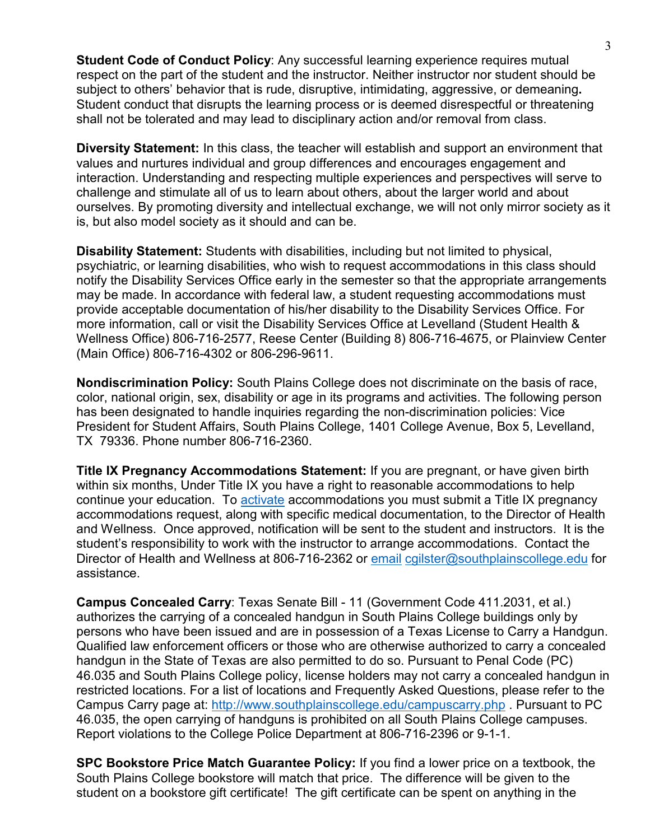**Student Code of Conduct Policy:** Any successful learning experience requires mutual respect on the part of the student and the instructor. Neither instructor nor student should be subject to others' behavior that is rude, disruptive, intimidating, aggressive, or demeaning**.**  Student conduct that disrupts the learning process or is deemed disrespectful or threatening shall not be tolerated and may lead to disciplinary action and/or removal from class.

**Diversity Statement:** In this class, the teacher will establish and support an environment that values and nurtures individual and group differences and encourages engagement and interaction. Understanding and respecting multiple experiences and perspectives will serve to challenge and stimulate all of us to learn about others, about the larger world and about ourselves. By promoting diversity and intellectual exchange, we will not only mirror society as it is, but also model society as it should and can be.

**Disability Statement:** Students with disabilities, including but not limited to physical, psychiatric, or learning disabilities, who wish to request accommodations in this class should notify the Disability Services Office early in the semester so that the appropriate arrangements may be made. In accordance with federal law, a student requesting accommodations must provide acceptable documentation of his/her disability to the Disability Services Office. For more information, call or visit the Disability Services Office at Levelland (Student Health & Wellness Office) 806-716-2577, Reese Center (Building 8) 806-716-4675, or Plainview Center (Main Office) 806-716-4302 or 806-296-9611.

**Nondiscrimination Policy:** South Plains College does not discriminate on the basis of race, color, national origin, sex, disability or age in its programs and activities. The following person has been designated to handle inquiries regarding the non-discrimination policies: Vice President for Student Affairs, South Plains College, 1401 College Avenue, Box 5, Levelland, TX 79336. Phone number 806-716-2360.

**Title IX Pregnancy Accommodations Statement:** If you are pregnant, or have given birth within six months, Under Title IX you have a right to reasonable accommodations to help continue your education. To [activate](http://www.southplainscollege.edu/employees/manualshandbooks/facultyhandbook/sec4.php) accommodations you must submit a Title IX pregnancy accommodations request, along with specific medical documentation, to the Director of Health and Wellness. Once approved, notification will be sent to the student and instructors. It is the student's responsibility to work with the instructor to arrange accommodations. Contact the Director of Health and Wellness at 806-716-2362 or [email](http://www.southplainscollege.edu/employees/manualshandbooks/facultyhandbook/sec4.php) [cgilster@southplainscollege.edu](mailto:cgilster@southplainscollege.edu) for assistance.

**Campus Concealed Carry**: Texas Senate Bill - 11 (Government Code 411.2031, et al.) authorizes the carrying of a concealed handgun in South Plains College buildings only by persons who have been issued and are in possession of a Texas License to Carry a Handgun. Qualified law enforcement officers or those who are otherwise authorized to carry a concealed handgun in the State of Texas are also permitted to do so. Pursuant to Penal Code (PC) 46.035 and South Plains College policy, license holders may not carry a concealed handgun in restricted locations. For a list of locations and Frequently Asked Questions, please refer to the Campus Carry page at: <http://www.southplainscollege.edu/campuscarry.php> . Pursuant to PC 46.035, the open carrying of handguns is prohibited on all South Plains College campuses. Report violations to the College Police Department at 806-716-2396 or 9-1-1.

**SPC Bookstore Price Match Guarantee Policy:** If you find a lower price on a textbook, the South Plains College bookstore will match that price. The difference will be given to the student on a bookstore gift certificate! The gift certificate can be spent on anything in the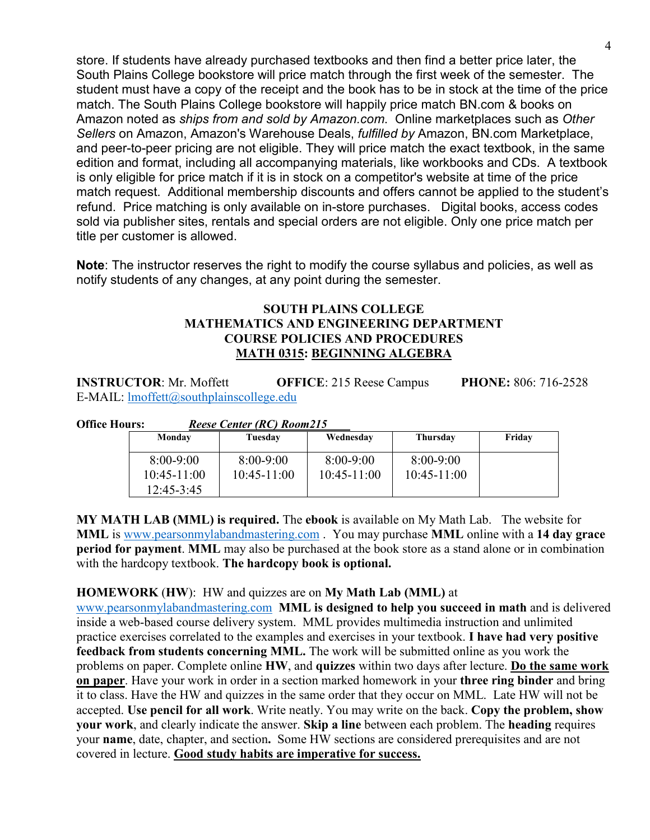store. If students have already purchased textbooks and then find a better price later, the South Plains College bookstore will price match through the first week of the semester. The student must have a copy of the receipt and the book has to be in stock at the time of the price match. The South Plains College bookstore will happily price match BN.com & books on Amazon noted as *ships from and sold by Amazon.com*. Online marketplaces such as *Other Sellers* on Amazon, Amazon's Warehouse Deals, *fulfilled by* Amazon, BN.com Marketplace, and peer-to-peer pricing are not eligible. They will price match the exact textbook, in the same edition and format, including all accompanying materials, like workbooks and CDs. A textbook is only eligible for price match if it is in stock on a competitor's website at time of the price match request. Additional membership discounts and offers cannot be applied to the student's refund. Price matching is only available on in-store purchases. Digital books, access codes sold via publisher sites, rentals and special orders are not eligible. Only one price match per title per customer is allowed.

**Note**: The instructor reserves the right to modify the course syllabus and policies, as well as notify students of any changes, at any point during the semester.

## **SOUTH PLAINS COLLEGE MATHEMATICS AND ENGINEERING DEPARTMENT COURSE POLICIES AND PROCEDURES MATH 0315: BEGINNING ALGEBRA**

**INSTRUCTOR**: Mr. Moffett **OFFICE**: 215 Reese Campus **PHONE:** 806: 716-2528 E-MAIL: [lmoffett@southplainscollege.edu](mailto:lmoffett@southplainscollege.edu) 

**Office Hours:** *Reese Center (RC) Room215*

| Monday                                     | Tuesday                        | Wednesday                    | Thursday                       | Friday |
|--------------------------------------------|--------------------------------|------------------------------|--------------------------------|--------|
| $8:00-9:00$<br>$10:45-11:00$<br>12:45-3:45 | $8:00-9:00$<br>$10:45 - 11:00$ | $8:00 - 9:00$<br>10:45-11:00 | $8:00-9:00$<br>$10:45 - 11:00$ |        |

**MY MATH LAB (MML) is required.** The **ebook** is available on My Math Lab. The website for **MML** is [www.pearsonmylabandmastering.com](http://www.pearsonmylabandmastering.com/) . You may purchase **MML** online with a **14 day grace period for payment**. **MML** may also be purchased at the book store as a stand alone or in combination with the hardcopy textbook. **The hardcopy book is optional.**

## **HOMEWORK** (**HW**): HW and quizzes are on **My Math Lab (MML)** at

[www.pearsonmylabandmastering.com](http://www.pearsonmylabandmastering.com/) **MML is designed to help you succeed in math** and is delivered inside a web-based course delivery system. MML provides multimedia instruction and unlimited practice exercises correlated to the examples and exercises in your textbook. **I have had very positive feedback from students concerning MML.** The work will be submitted online as you work the problems on paper. Complete online **HW**, and **quizzes** within two days after lecture. **Do the same work on paper**. Have your work in order in a section marked homework in your **three ring binder** and bring it to class. Have the HW and quizzes in the same order that they occur on MML. Late HW will not be accepted. **Use pencil for all work**. Write neatly. You may write on the back. **Copy the problem, show your work**, and clearly indicate the answer. **Skip a line** between each problem. The **heading** requires your **name**, date, chapter, and section**.** Some HW sections are considered prerequisites and are not covered in lecture. **Good study habits are imperative for success.**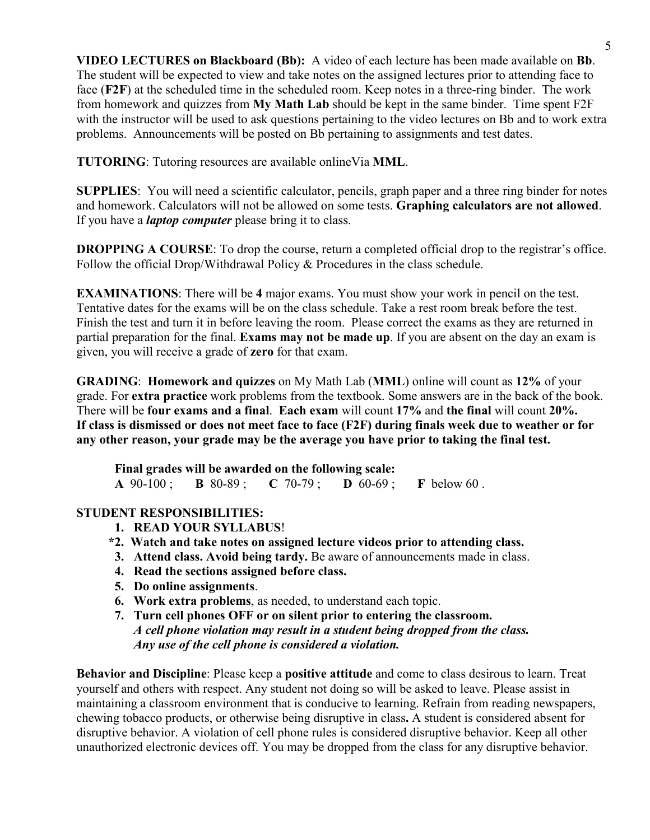**VIDEO LECTURES on Blackboard (Bb):** A video of each lecture has been made available on **Bb**. The student will be expected to view and take notes on the assigned lectures prior to attending face to face (**F2F**) at the scheduled time in the scheduled room. Keep notes in a three-ring binder. The work from homework and quizzes from **My Math Lab** should be kept in the same binder. Time spent F2F with the instructor will be used to ask questions pertaining to the video lectures on Bb and to work extra problems. Announcements will be posted on Bb pertaining to assignments and test dates.

**TUTORING**: Tutoring resources are available onlineVia **MML**.

**SUPPLIES**: You will need a scientific calculator, pencils, graph paper and a three ring binder for notes and homework. Calculators will not be allowed on some tests. **Graphing calculators are not allowed**. If you have a *laptop computer* please bring it to class.

**DROPPING A COURSE:** To drop the course, return a completed official drop to the registrar's office. Follow the official Drop/Withdrawal Policy & Procedures in the class schedule.

**EXAMINATIONS**: There will be **4** major exams. You must show your work in pencil on the test. Tentative dates for the exams will be on the class schedule. Take a rest room break before the test. Finish the test and turn it in before leaving the room. Please correct the exams as they are returned in partial preparation for the final. **Exams may not be made up**. If you are absent on the day an exam is given, you will receive a grade of **zero** for that exam.

**GRADING**: **Homework and quizzes** on My Math Lab (**MML**) online will count as **12%** of your grade. For **extra practice** work problems from the textbook. Some answers are in the back of the book. There will be **four exams and a final**. **Each exam** will count **17%** and **the final** will count **20%. If class is dismissed or does not meet face to face (F2F) during finals week due to weather or for any other reason, your grade may be the average you have prior to taking the final test.** 

**Final grades will be awarded on the following scale: A** 90-100 ; **B** 80-89 ; **C** 70-79 ; **D** 60-69 ; **F** below 60 .

# **STUDENT RESPONSIBILITIES:**

- **1. READ YOUR SYLLABUS**!
- **\*2. Watch and take notes on assigned lecture videos prior to attending class.**
- **3. Attend class. Avoid being tardy.** Be aware of announcements made in class.
- **4. Read the sections assigned before class.**
- **5. Do online assignments**.
- **6. Work extra problems**, as needed, to understand each topic.
- **7. Turn cell phones OFF or on silent prior to entering the classroom.**  *A cell phone violation may result in a student being dropped from the class. Any use of the cell phone is considered a violation.*

**Behavior and Discipline**: Please keep a **positive attitude** and come to class desirous to learn. Treat yourself and others with respect. Any student not doing so will be asked to leave. Please assist in maintaining a classroom environment that is conducive to learning. Refrain from reading newspapers, chewing tobacco products, or otherwise being disruptive in class**.** A student is considered absent for disruptive behavior. A violation of cell phone rules is considered disruptive behavior. Keep all other unauthorized electronic devices off. You may be dropped from the class for any disruptive behavior.